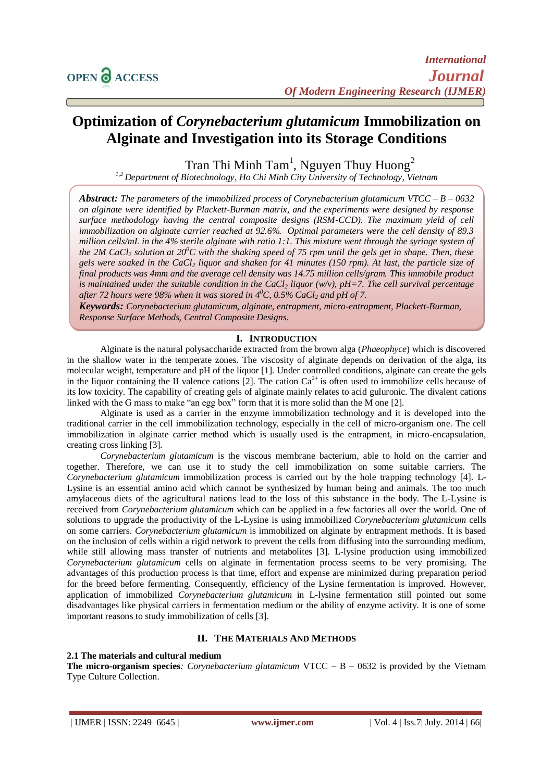# **Optimization of** *Corynebacterium glutamicum* **Immobilization on Alginate and Investigation into its Storage Conditions**

Tran Thi Minh Tam<sup>1</sup>, Nguyen Thuy Huong<sup>2</sup>

*1,2 Department of Biotechnology, Ho Chi Minh City University of Technology, Vietnam*

*Abstract: The parameters of the immobilized process of Corynebacterium glutamicum VTCC – B – 0632 on alginate were identified by Plackett-Burman matrix, and the experiments were designed by response surface methodology having the central composite designs (RSM-CCD). The maximum yield of cell immobilization on alginate carrier reached at 92.6%. Optimal parameters were the cell density of 89.3 million cells/mL in the 4% sterile alginate with ratio 1:1. This mixture went through the syringe system of the 2M CaCl<sup>2</sup> solution at 20<sup>0</sup>C with the shaking speed of 75 rpm until the gels get in shape. Then, these gels were soaked in the CaCl<sup>2</sup> liquor and shaken for 41 minutes (150 rpm). At last, the particle size of final products was 4mm and the average cell density was 14.75 million cells/gram. This immobile product is maintained under the suitable condition in the CaCl<sup>2</sup> liquor (w/v), pH=7. The cell survival percentage after 72 hours were 98% when it was stored in 4 <sup>0</sup>C, 0.5% CaCl<sup>2</sup> and pH of 7.*

*Keywords: Corynebacterium glutamicum, alginate, entrapment, micro-entrapment, Plackett-Burman, Response Surface Methods, Central Composite Designs.*

#### **I. INTRODUCTION**

Alginate is the natural polysaccharide extracted from the brown alga (*Phaeophyce*) which is discovered in the shallow water in the temperate zones. The viscosity of alginate depends on derivation of the alga, its molecular weight, temperature and pH of the liquor [1]. Under controlled conditions, alginate can create the gels in the liquor containing the II valence cations [2]. The cation  $Ca^{2+}$  is often used to immobilize cells because of its low toxicity. The capability of creating gels of alginate mainly relates to acid guluronic. The divalent cations linked with the G mass to make "an egg box" form that it is more solid than the M one [2].

Alginate is used as a carrier in the enzyme immobilization technology and it is developed into the traditional carrier in the cell immobilization technology, especially in the cell of micro-organism one. The cell immobilization in alginate carrier method which is usually used is the entrapment, in micro-encapsulation, creating cross linking [3].

*Corynebacterium glutamicum* is the viscous membrane bacterium, able to hold on the carrier and together. Therefore, we can use it to study the cell immobilization on some suitable carriers. The *Corynebacterium glutamicum* immobilization process is carried out by the hole trapping technology [4]. L-Lysine is an essential amino acid which cannot be synthesized by human being and animals. The too much amylaceous diets of the agricultural nations lead to the loss of this substance in the body. The L-Lysine is received from *Corynebacterium glutamicum* which can be applied in a few factories all over the world. One of solutions to upgrade the productivity of the L-Lysine is using immobilized *Corynebacterium glutamicum* cells on some carriers. *Corynebacterium glutamicum* is immobilized on alginate by entrapment methods. It is based on the inclusion of cells within a rigid network to prevent the cells from diffusing into the surrounding medium, while still allowing mass transfer of nutrients and metabolites [3]. L-lysine production using immobilized *Corynebacterium glutamicum* cells on alginate in fermentation process seems to be very promising. The advantages of this production process is that time, effort and expense are minimized during preparation period for the breed before fermenting. Consequently, efficiency of the Lysine fermentation is improved. However, application of immobilized *Corynebacterium glutamicum* in L-lysine fermentation still pointed out some disadvantages like physical carriers in fermentation medium or the ability of enzyme activity. It is one of some important reasons to study immobilization of cells [3].

# **II. THE MATERIALS AND METHODS**

## **2.1 The materials and cultural medium**

**The micro-organism species***: Corynebacterium glutamicum* VTCC – B – 0632 is provided by the Vietnam Type Culture Collection.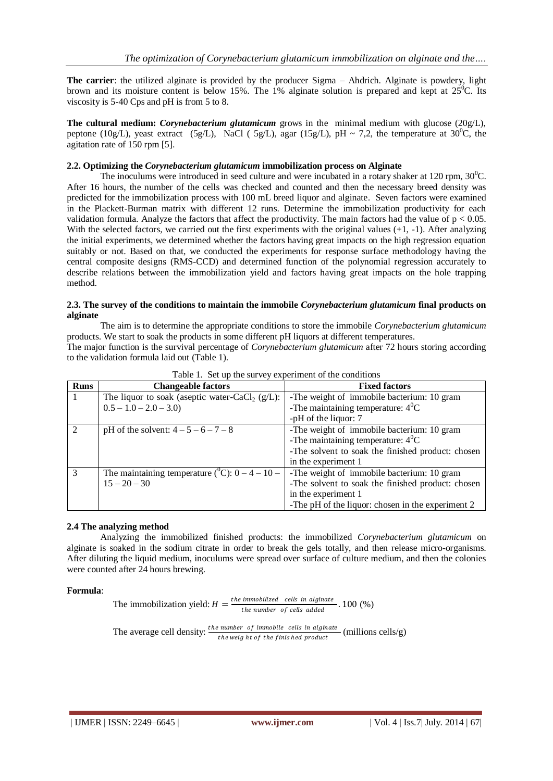**The carrier**: the utilized alginate is provided by the producer Sigma – Ahdrich. Alginate is powdery, light brown and its moisture content is below 15%. The 1% alginate solution is prepared and kept at  $25^{\circ}$ C. Its viscosity is 5-40 Cps and pH is from 5 to 8.

**The cultural medium:** *Corynebacterium glutamicum* grows in the minimal medium with glucose (20g/L), peptone (10g/L), yeast extract (5g/L), NaCl (5g/L), agar (15g/L), pH ~ 7,2, the temperature at 30<sup>o</sup>C, the agitation rate of 150 rpm [5].

#### **2.2. Optimizing the** *Corynebacterium glutamicum* **immobilization process on Alginate**

The inoculums were introduced in seed culture and were incubated in a rotary shaker at 120 rpm,  $30^0$ C. After 16 hours, the number of the cells was checked and counted and then the necessary breed density was predicted for the immobilization process with 100 mL breed liquor and alginate. Seven factors were examined in the Plackett-Burman matrix with different 12 runs. Determine the immobilization productivity for each validation formula. Analyze the factors that affect the productivity. The main factors had the value of  $p < 0.05$ . With the selected factors, we carried out the first experiments with the original values (+1, -1). After analyzing the initial experiments, we determined whether the factors having great impacts on the high regression equation suitably or not. Based on that, we conducted the experiments for response surface methodology having the central composite designs (RMS-CCD) and determined function of the polynomial regression accurately to describe relations between the immobilization yield and factors having great impacts on the hole trapping method.

#### **2.3. The survey of the conditions to maintain the immobile** *Corynebacterium glutamicum* **final products on alginate**

The aim is to determine the appropriate conditions to store the immobile *Corynebacterium glutamicum* products. We start to soak the products in some different pH liquors at different temperatures.

The major function is the survival percentage of *Corynebacterium glutamicum* after 72 hours storing according to the validation formula laid out (Table 1).

| <b>Runs</b> | <b>Changeable factors</b>                                     | <b>Fixed factors</b>                              |
|-------------|---------------------------------------------------------------|---------------------------------------------------|
|             | The liquor to soak (aseptic water-CaCl <sub>2</sub> $(g/L)$ : | -The weight of immobile bacterium: 10 gram        |
|             | $0.5 - 1.0 - 2.0 - 3.0$                                       | -The maintaining temperature: $4^0C$              |
|             |                                                               | -pH of the liquor: 7                              |
| $\gamma$    | pH of the solvent: $4 - 5 - 6 - 7 - 8$                        | -The weight of immobile bacterium: 10 gram        |
|             |                                                               | -The maintaining temperature: $4^0C$              |
|             |                                                               | -The solvent to soak the finished product: chosen |
|             |                                                               | in the experiment 1                               |
| 3           | The maintaining temperature ( $^0C$ ): $0-4-10-$              | -The weight of immobile bacterium: 10 gram        |
|             | $15 - 20 - 30$                                                | -The solvent to soak the finished product: chosen |
|             |                                                               | in the experiment 1                               |
|             |                                                               | -The pH of the liquor: chosen in the experiment 2 |

Table 1. Set up the survey experiment of the conditions

## **2.4 The analyzing method**

Analyzing the immobilized finished products: the immobilized *Corynebacterium glutamicum* on alginate is soaked in the sodium citrate in order to break the gels totally, and then release micro-organisms. After diluting the liquid medium, inoculums were spread over surface of culture medium, and then the colonies were counted after 24 hours brewing.

#### **Formula**:

The immobilization yield: 
$$
H = \frac{the \text{ immobilized} \text{ cells in alginate}}{\text{the number of cells added}} \cdot 100 \, (\%)
$$

The average cell density:  $\frac{the \ number \ of \ immutable \ cells \ in \ adjacent \ }{the \ weight \ of \ the \ finish \ red \ product}$  (millions cells/g)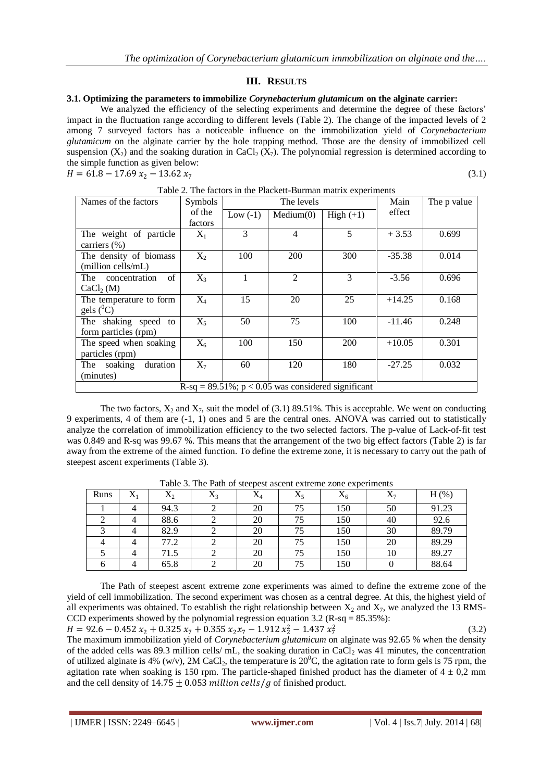## **III. RESULTS**

#### **3.1. Optimizing the parameters to immobilize** *Corynebacterium glutamicum* **on the alginate carrier:**

We analyzed the efficiency of the selecting experiments and determine the degree of these factors' impact in the fluctuation range according to different levels (Table 2). The change of the impacted levels of 2 among 7 surveyed factors has a noticeable influence on the immobilization yield of *Corynebacterium glutamicum* on the alginate carrier by the hole trapping method. Those are the density of immobilized cell suspension  $(X_2)$  and the soaking duration in CaCl<sub>2</sub>  $(X_7)$ . The polynomial regression is determined according to the simple function as given below:  $H = 61.8 - 17.69 x_2 - 13.62 x_7$  $(3.1)$ 

|--|

| Table 2. The factors in the Flackett-Burnian matrix experiments |                |            |           |             |          |             |  |
|-----------------------------------------------------------------|----------------|------------|-----------|-------------|----------|-------------|--|
| Names of the factors                                            | <b>Symbols</b> | The levels |           |             | Main     | The p value |  |
|                                                                 | of the         | Low $(-1)$ | Median(0) | High $(+1)$ | effect   |             |  |
|                                                                 | factors        |            |           |             |          |             |  |
| The weight of particle                                          | $X_1$          | 3          | 4         | 5           | $+3.53$  | 0.699       |  |
| carriers $(\% )$                                                |                |            |           |             |          |             |  |
| The density of biomass                                          | $X_2$          | 100        | 200       | 300         | $-35.38$ | 0.014       |  |
| (million cells/mL)                                              |                |            |           |             |          |             |  |
| of<br>The concentration                                         | $X_3$          | 1          | 2         | 3           | $-3.56$  | 0.696       |  |
| CaCl <sub>2</sub> (M)                                           |                |            |           |             |          |             |  |
| The temperature to form                                         | $X_4$          | 15         | 20        | 25          | $+14.25$ | 0.168       |  |
| gels $(^0C)$                                                    |                |            |           |             |          |             |  |
| The shaking speed<br>to                                         | $X_5$          | 50         | 75        | 100         | $-11.46$ | 0.248       |  |
| form particles (rpm)                                            |                |            |           |             |          |             |  |
| The speed when soaking                                          | $X_6$          | 100        | 150       | <b>200</b>  | $+10.05$ | 0.301       |  |
| particles (rpm)                                                 |                |            |           |             |          |             |  |
| duration<br>The soaking                                         | $X_7$          | 60         | 120       | 180         | $-27.25$ | 0.032       |  |
| (minutes)                                                       |                |            |           |             |          |             |  |
| $R-sq = 89.51\%$ ; $p < 0.05$ was considered significant        |                |            |           |             |          |             |  |

Table 2. The factors in the Plackett-Burman matrix experiments

The two factors,  $X_2$  and  $X_7$ , suit the model of (3.1) 89.51%. This is acceptable. We went on conducting 9 experiments, 4 of them are (-1, 1) ones and 5 are the central ones. ANOVA was carried out to statistically analyze the correlation of immobilization efficiency to the two selected factors. The p-value of Lack-of-fit test was 0.849 and R-sq was 99.67 %. This means that the arrangement of the two big effect factors (Table 2) is far away from the extreme of the aimed function. To define the extreme zone, it is necessary to carry out the path of steepest ascent experiments (Table 3).

| Runs | $X_1$ | $\rm X_2$ | $\mathbf v$<br>$\Lambda_3$ | $X_4$ | $X_5$ | $X_6$ | $X_7$ | $H$ $(\%)$ |
|------|-------|-----------|----------------------------|-------|-------|-------|-------|------------|
|      | 4     | 94.3      |                            | 20    | 75    | 150   | 50    | 91.23      |
|      |       | 88.6      |                            | 20    | 75    | 150   | 40    | 92.6       |
|      |       | 82.9      |                            | 20    | 75    | 150   | 30    | 89.79      |
|      |       | 77.2      |                            | 20    | 75    | 150   | 20    | 89.29      |
|      |       | 71.5      |                            | 20    | 75    | 150   | 10    | 89.27      |
|      |       | 65.8      |                            | 20    | 75    | 150   |       | 88.64      |

Table 3. The Path of steepest ascent extreme zone experiments

The Path of steepest ascent extreme zone experiments was aimed to define the extreme zone of the yield of cell immobilization. The second experiment was chosen as a central degree. At this, the highest yield of all experiments was obtained. To establish the right relationship between  $X_2$  and  $X_7$ , we analyzed the 13 RMS-CCD experiments showed by the polynomial regression equation  $3.2$  (R-sq =  $85.35\%$ ):  $H = 92.6 - 0.452 x_2 + 0.325 x_7 + 0.355 x_2 x_7 - 1.912 x_2^2 - 1.437 x_7^2$ (3.2)

The maximum immobilization yield of *Corynebacterium glutamicum* on alginate was 92.65 % when the density of the added cells was 89.3 million cells/ mL, the soaking duration in CaCl<sub>2</sub> was 41 minutes, the concentration of utilized alginate is 4% (w/v), 2M CaCl<sub>2</sub>, the temperature is 20<sup>o</sup>C, the agitation rate to form gels is 75 rpm, the agitation rate when soaking is 150 rpm. The particle-shaped finished product has the diameter of  $4 \pm 0.2$  mm and the cell density of  $14.75 \pm 0.053$  million cells / g of finished product.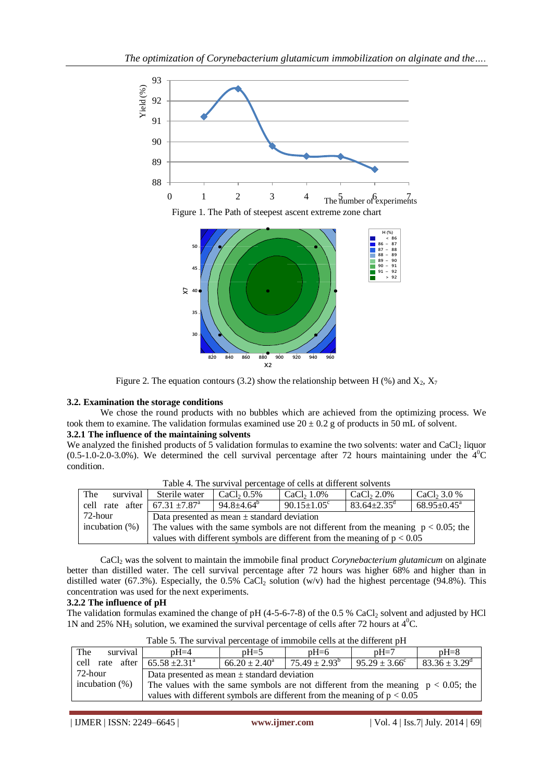

Figure 2. The equation contours (3.2) show the relationship between H (%) and  $X_2$ ,  $X_7$ 

## **3.2. Examination the storage conditions**

We chose the round products with no bubbles which are achieved from the optimizing process. We took them to examine. The validation formulas examined use  $20 \pm 0.2$  g of products in 50 mL of solvent.

## **3.2.1 The influence of the maintaining solvents**

We analyzed the finished products of 5 validation formulas to examine the two solvents: water and CaCl<sub>2</sub> liquor  $(0.5-1.0-2.0-3.0%)$ . We determined the cell survival percentage after 72 hours maintaining under the  $4^{\circ}$ C condition.

| The               | survival | Sterile water                                                                        | CaCl <sub>2</sub> $0.5\%$ | CaCl <sub>2</sub> 1.0%        | CaCl <sub>2</sub> 2.0%        | CaCl <sub>2</sub> 3.0 %     |  |
|-------------------|----------|--------------------------------------------------------------------------------------|---------------------------|-------------------------------|-------------------------------|-----------------------------|--|
|                   |          | cell rate after 67.31 $\pm$ 7.87 <sup>a</sup>                                        | $94.8 \pm 4.64^{\circ}$   | $90.15 \pm 1.05$ <sup>c</sup> | $83.64 \pm 2.35$ <sup>d</sup> | $68.95 \pm 0.45^{\text{a}}$ |  |
| 72-hour           |          | Data presented as mean $\pm$ standard deviation                                      |                           |                               |                               |                             |  |
| incubation $(\%)$ |          | The values with the same symbols are not different from the meaning $p < 0.05$ ; the |                           |                               |                               |                             |  |
|                   |          | values with different symbols are different from the meaning of $p < 0.05$           |                           |                               |                               |                             |  |

Table 4. The survival percentage of cells at different solvents

CaCl<sup>2</sup> was the solvent to maintain the immobile final product *Corynebacterium glutamicum* on alginate better than distilled water. The cell survival percentage after 72 hours was higher 68% and higher than in distilled water (67.3%). Especially, the 0.5% CaCl<sub>2</sub> solution (w/v) had the highest percentage (94.8%). This concentration was used for the next experiments.

## **3.2.2 The influence of pH**

The validation formulas examined the change of pH  $(4-5-6-7-8)$  of the 0.5 % CaCl<sub>2</sub> solvent and adjusted by HCl 1N and 25% NH<sub>3</sub> solution, we examined the survival percentage of cells after 72 hours at  $4^{\circ}$ C.

| Table 5. The survival percentage of infinitionle cens at the uniterest pri- |                                                                                      |                    |                          |                          |                               |  |  |
|-----------------------------------------------------------------------------|--------------------------------------------------------------------------------------|--------------------|--------------------------|--------------------------|-------------------------------|--|--|
| The<br>survival                                                             | $pH = 4$                                                                             | $nH = 5$           | $nH=6$                   | $nH=7$                   | $pH=8$                        |  |  |
| cell rate after $65.58 \pm 2.31^{\circ}$                                    |                                                                                      | $66.20 \pm 2.40^a$ | $75.49 \pm 2.93^{\circ}$ | $95.29 \pm 3.66^{\circ}$ | $83.36 \pm 3.29^{\mathrm{d}}$ |  |  |
| 72-hour                                                                     | Data presented as mean $\pm$ standard deviation                                      |                    |                          |                          |                               |  |  |
| incubation $(\%)$                                                           | The values with the same symbols are not different from the meaning $p < 0.05$ ; the |                    |                          |                          |                               |  |  |
|                                                                             | values with different symbols are different from the meaning of $p < 0.05$           |                    |                          |                          |                               |  |  |

Table 5. The survival percentage of immobile cells at the different pH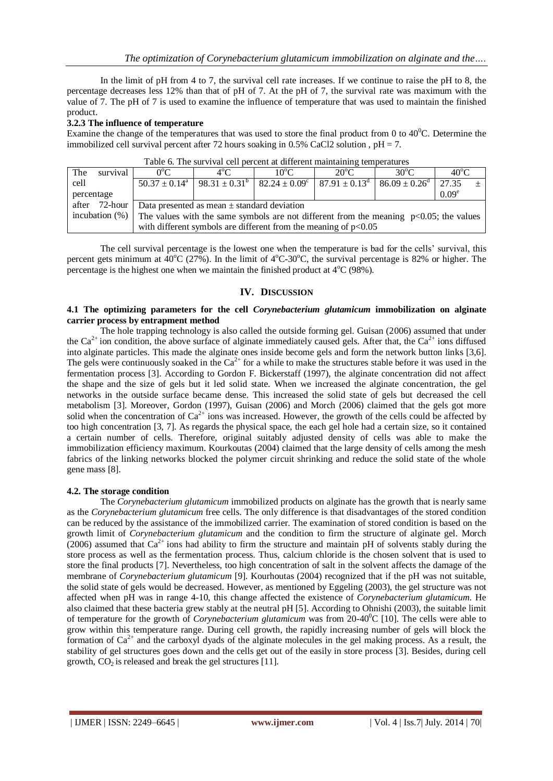In the limit of pH from 4 to 7, the survival cell rate increases. If we continue to raise the pH to 8, the percentage decreases less 12% than that of pH of 7. At the pH of 7, the survival rate was maximum with the value of 7. The pH of 7 is used to examine the influence of temperature that was used to maintain the finished product.

## **3.2.3 The influence of temperature**

Examine the change of the temperatures that was used to store the final product from 0 to  $40^{\circ}$ C. Determine the immobilized cell survival percent after 72 hours soaking in 0.5% CaCl2 solution,  $pH = 7$ .

|                                                                                                                | $P$ as a correct one contract and contract $\mathcal{L}$ . The contract of $\mathcal{L}$ |                                                                   |               |                                                                                                                                              |                |                |                   |  |
|----------------------------------------------------------------------------------------------------------------|------------------------------------------------------------------------------------------|-------------------------------------------------------------------|---------------|----------------------------------------------------------------------------------------------------------------------------------------------|----------------|----------------|-------------------|--|
| The                                                                                                            | survival                                                                                 | $0^{\circ}$ C                                                     | $4^{\circ}$ C | $10^{\circ}$ C .                                                                                                                             | $20^{\circ}$ C | $30^{\circ}$ C | $40^{\circ}$ C    |  |
| cell                                                                                                           |                                                                                          |                                                                   |               | $50.37 \pm 0.14^{\circ}$   $98.31 \pm 0.31^{\circ}$   $82.24 \pm 0.09^{\circ}$   $87.91 \pm 0.13^{\circ}$   $86.09 \pm 0.26^{\circ}$   27.35 |                |                |                   |  |
| percentage                                                                                                     |                                                                                          |                                                                   |               |                                                                                                                                              |                |                | 0.09 <sup>e</sup> |  |
|                                                                                                                | after 72-hour                                                                            | Data presented as mean $\pm$ standard deviation                   |               |                                                                                                                                              |                |                |                   |  |
| incubation $(\%)$<br>The values with the same symbols are not different from the meaning $p<0.05$ ; the values |                                                                                          |                                                                   |               |                                                                                                                                              |                |                |                   |  |
|                                                                                                                |                                                                                          | with different symbols are different from the meaning of $p<0.05$ |               |                                                                                                                                              |                |                |                   |  |

|  | Table 6. The survival cell percent at different maintaining temperatures |  |
|--|--------------------------------------------------------------------------|--|
|  |                                                                          |  |

The cell survival percentage is the lowest one when the temperature is bad for the cells' survival, this percent gets minimum at  $40^{\circ}$ C (27%). In the limit of  $4^{\circ}$ C-30<sup>o</sup>C, the survival percentage is 82% or higher. The percentage is the highest one when we maintain the finished product at  $4^{\circ}C$  (98%).

# **IV. DISCUSSION**

#### **4.1 The optimizing parameters for the cell** *Corynebacterium glutamicum* **immobilization on alginate carrier process by entrapment method**

The hole trapping technology is also called the outside forming gel. Guisan (2006) assumed that under the  $Ca^{2+}$  ion condition, the above surface of alginate immediately caused gels. After that, the  $Ca^{2+}$  ions diffused into alginate particles. This made the alginate ones inside become gels and form the network button links [3,6]. The gels were continuously soaked in the  $Ca^{2+}$  for a while to make the structures stable before it was used in the fermentation process [3]. According to Gordon F. Bickerstaff (1997), the alginate concentration did not affect the shape and the size of gels but it led solid state. When we increased the alginate concentration, the gel networks in the outside surface became dense. This increased the solid state of gels but decreased the cell metabolism [3]. Moreover, Gordon (1997), Guisan (2006) and Morch (2006) claimed that the gels got more solid when the concentration of  $Ca^{2+}$  ions was increased. However, the growth of the cells could be affected by too high concentration [3, 7]. As regards the physical space, the each gel hole had a certain size, so it contained a certain number of cells. Therefore, original suitably adjusted density of cells was able to make the immobilization efficiency maximum. Kourkoutas (2004) claimed that the large density of cells among the mesh fabrics of the linking networks blocked the polymer circuit shrinking and reduce the solid state of the whole gene mass [8].

## **4.2. The storage condition**

The *Corynebacterium glutamicum* immobilized products on alginate has the growth that is nearly same as the *Corynebacterium glutamicum* free cells. The only difference is that disadvantages of the stored condition can be reduced by the assistance of the immobilized carrier. The examination of stored condition is based on the growth limit of *Corynebacterium glutamicum* and the condition to firm the structure of alginate gel. Morch (2006) assumed that  $Ca^{2+}$  ions had ability to firm the structure and maintain pH of solvents stably during the store process as well as the fermentation process. Thus, calcium chloride is the chosen solvent that is used to store the final products [7]. Nevertheless, too high concentration of salt in the solvent affects the damage of the membrane of *Corynebacterium glutamicum* [9]. Kourhoutas (2004) recognized that if the pH was not suitable, the solid state of gels would be decreased. However, as mentioned by Eggeling (2003), the gel structure was not affected when pH was in range 4-10, this change affected the existence of *Corynebacterium glutamicum*. He also claimed that these bacteria grew stably at the neutral pH [5]. According to Ohnishi (2003), the suitable limit of temperature for the growth of *Corynebacterium glutamicum* was from 20-40<sup>0</sup>C [10]. The cells were able to grow within this temperature range. During cell growth, the rapidly increasing number of gels will block the formation of  $Ca^{2+}$  and the carboxyl dyads of the alginate molecules in the gel making process. As a result, the stability of gel structures goes down and the cells get out of the easily in store process [3]. Besides, during cell growth,  $CO<sub>2</sub>$  is released and break the gel structures [11].